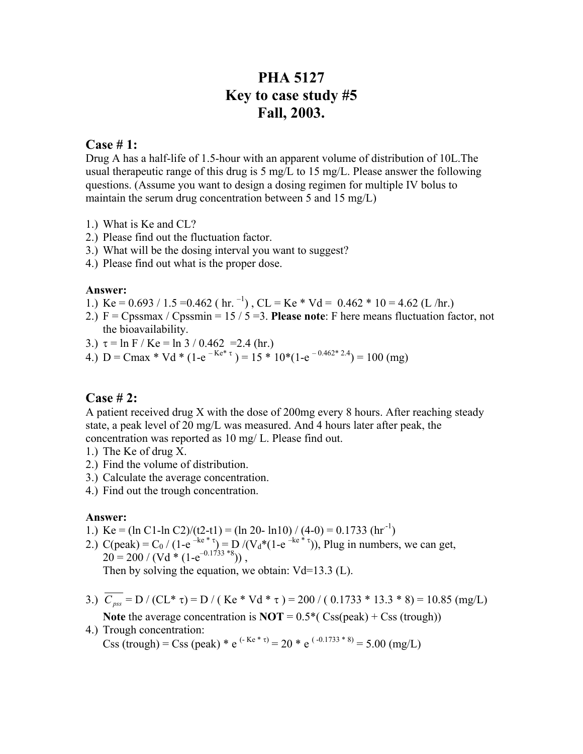# **PHA 5127 Key to case study #5 Fall, 2003.**

## **Case # 1:**

Drug A has a half-life of 1.5-hour with an apparent volume of distribution of 10L.The usual therapeutic range of this drug is 5 mg/L to 15 mg/L. Please answer the following questions. (Assume you want to design a dosing regimen for multiple IV bolus to maintain the serum drug concentration between 5 and 15 mg/L)

- 1.) What is Ke and CL?
- 2.) Please find out the fluctuation factor.
- 3.) What will be the dosing interval you want to suggest?
- 4.) Please find out what is the proper dose.

#### **Answer:**

- 1.) Ke =  $0.693 / 1.5 = 0.462$  (hr.  $^{-1}$ ), CL = Ke \* Vd =  $0.462$  \* 10 = 4.62 (L/hr.)
- 2.) F = Cpssmax / Cpssmin = 15 / 5 =3. **Please note**: F here means fluctuation factor, not the bioavailability.
- 3.)  $\tau = \ln F / Ke = \ln 3 / 0.462 = 2.4$  (hr.)
- 4.) D = Cmax \* Vd \* (1-e<sup>-Ke\* τ</sup>) = 15 \* 10\*(1-e<sup>-0.462\* 2.4</sup>) = 100 (mg)

### **Case # 2:**

A patient received drug X with the dose of 200mg every 8 hours. After reaching steady state, a peak level of 20 mg/L was measured. And 4 hours later after peak, the concentration was reported as 10 mg/ L. Please find out.

- 1.) The Ke of drug X.
- 2.) Find the volume of distribution.
- 3.) Calculate the average concentration.
- 4.) Find out the trough concentration.

#### **Answer:**

- 1.) Ke = (ln C1-ln C2)/(t2-t1) = (ln 20- ln10) / (4-0) = 0.1733 (hr<sup>-1</sup>)
- 2.) C(peak) = C<sub>0</sub> / (1-e<sup>-ke\*</sup><sup>τ</sup>) = D /(V<sub>d</sub>\*(1-e<sup>-ke\*</sup><sup>τ</sup>)), Plug in numbers, we can get,  $20 = 200 / (Vd * (1-e^{-0.1733 * 8}))$ Then by solving the equation, we obtain:  $Vd=13.3$  (L).
- 3.)  $\overline{C_{\text{pss}}}$  = D / (CL\* τ) = D / (Ke\* Vd \* τ) = 200 / (0.1733 \* 13.3 \* 8) = 10.85 (mg/L) **Note** the average concentration is  $\text{NOT} = 0.5*(\text{Css}(\text{peak}) + \text{Cs}(\text{trough}))$
- 4.) Trough concentration:

Css (trough) = Css (peak) \* e<sup>(- Ke \* τ)</sup> = 20 \* e<sup>(-0.1733 \* 8)</sup> = 5.00 (mg/L)